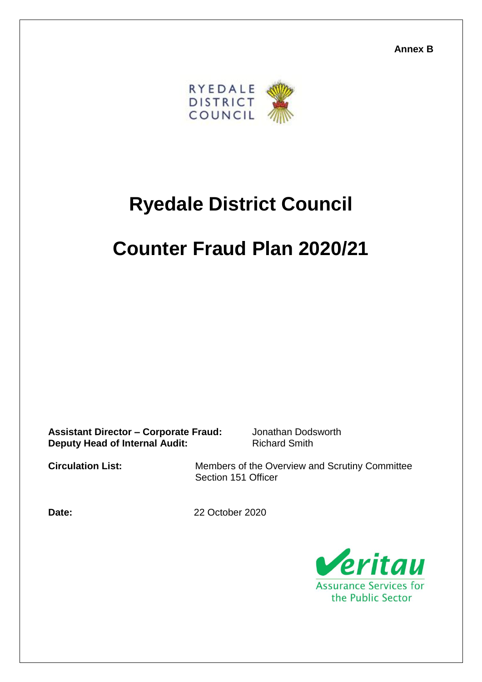**Annex B**



## **Ryedale District Council**

## **Counter Fraud Plan 2020/21**

**Assistant Director – Corporate Fraud:** Jonathan Dodsworth **Deputy Head of Internal Audit:** Richard Smith

**Circulation List:** Members of the Overview and Scrutiny Committee Section 151 Officer

**Date:** 22 October 2020

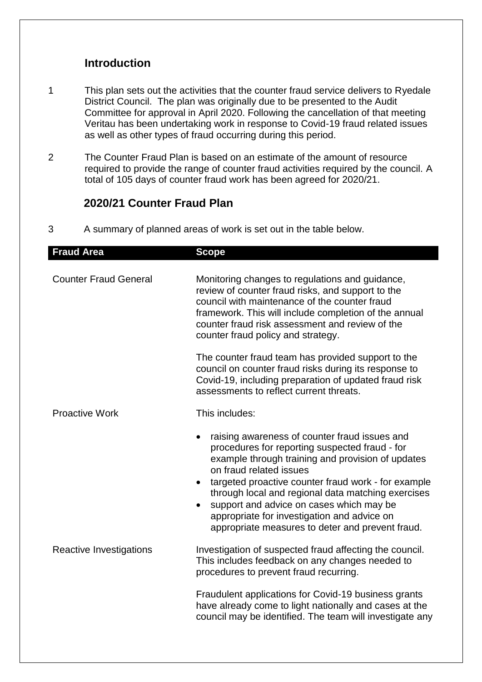## **Introduction**

- 1 This plan sets out the activities that the counter fraud service delivers to Ryedale District Council. The plan was originally due to be presented to the Audit Committee for approval in April 2020. Following the cancellation of that meeting Veritau has been undertaking work in response to Covid-19 fraud related issues as well as other types of fraud occurring during this period.
- 2 The Counter Fraud Plan is based on an estimate of the amount of resource required to provide the range of counter fraud activities required by the council. A total of 105 days of counter fraud work has been agreed for 2020/21.

## **2020/21 Counter Fraud Plan**

3 A summary of planned areas of work is set out in the table below.

| <b>Fraud Area</b>              | <b>Scope</b>                                                                                                                                                                                                                                                                                                                                                                                                                                             |
|--------------------------------|----------------------------------------------------------------------------------------------------------------------------------------------------------------------------------------------------------------------------------------------------------------------------------------------------------------------------------------------------------------------------------------------------------------------------------------------------------|
| <b>Counter Fraud General</b>   | Monitoring changes to regulations and guidance,<br>review of counter fraud risks, and support to the<br>council with maintenance of the counter fraud<br>framework. This will include completion of the annual<br>counter fraud risk assessment and review of the<br>counter fraud policy and strategy.                                                                                                                                                  |
|                                | The counter fraud team has provided support to the<br>council on counter fraud risks during its response to<br>Covid-19, including preparation of updated fraud risk<br>assessments to reflect current threats.                                                                                                                                                                                                                                          |
| <b>Proactive Work</b>          | This includes:                                                                                                                                                                                                                                                                                                                                                                                                                                           |
|                                | raising awareness of counter fraud issues and<br>procedures for reporting suspected fraud - for<br>example through training and provision of updates<br>on fraud related issues<br>targeted proactive counter fraud work - for example<br>$\bullet$<br>through local and regional data matching exercises<br>support and advice on cases which may be<br>appropriate for investigation and advice on<br>appropriate measures to deter and prevent fraud. |
| <b>Reactive Investigations</b> | Investigation of suspected fraud affecting the council.<br>This includes feedback on any changes needed to<br>procedures to prevent fraud recurring.                                                                                                                                                                                                                                                                                                     |
|                                | Fraudulent applications for Covid-19 business grants<br>have already come to light nationally and cases at the<br>council may be identified. The team will investigate any                                                                                                                                                                                                                                                                               |